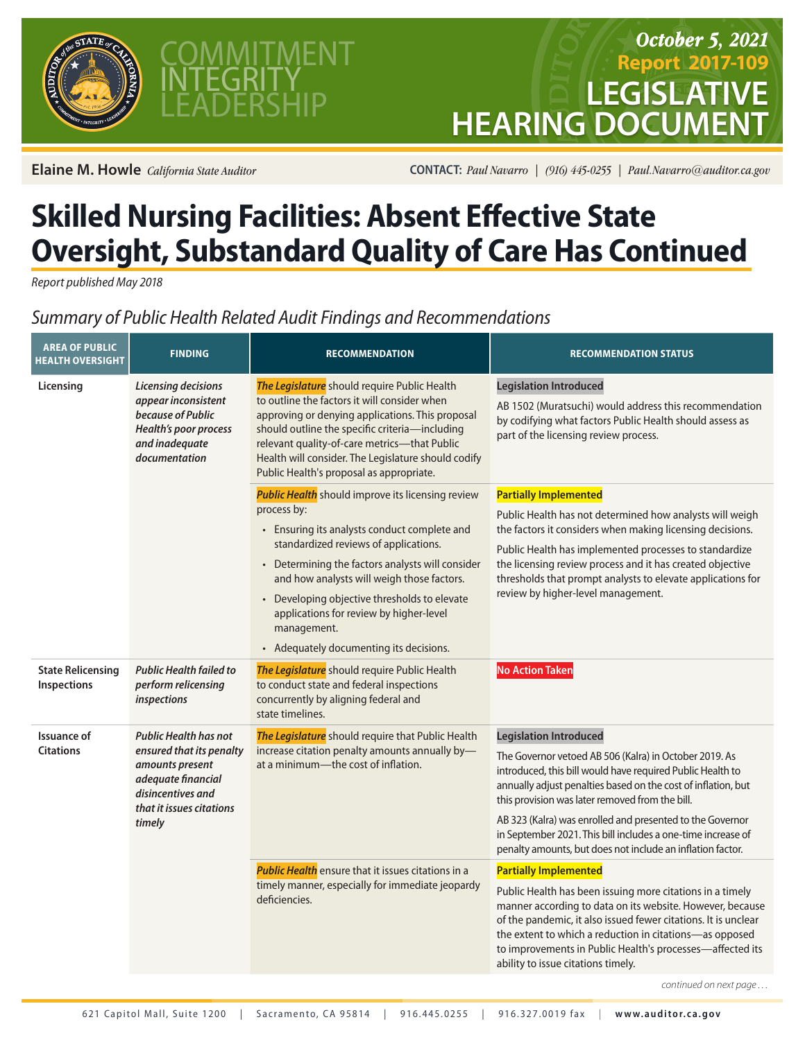



## *October 5, 2021* **Report 2017-109 LEGISLATI HEARING DOCU**

**Elaine M. Howle** *California State Auditor* **CONTACT:** *Paul Navarro* | (916) 445-0255 | Paul.Navarro@auditor.ca.gov

## **Skilled Nursing Facilities: Absent Effective State Oversight, Substandard Quality of Care Has Continued**

*Report published May 2018*

## *Summary of Public Health Related Audit Findings and Recommendations*

| <b>AREA OF PUBLIC</b><br><b>HEALTH OVERSIGHT</b> | <b>FINDING</b>                                                                                                                                               | <b>RECOMMENDATION</b>                                                                                                                                                                                                                                                                                                                                                                                               | <b>RECOMMENDATION STATUS</b>                                                                                                                                                                                                                                                                                                                                                                                                                                         |
|--------------------------------------------------|--------------------------------------------------------------------------------------------------------------------------------------------------------------|---------------------------------------------------------------------------------------------------------------------------------------------------------------------------------------------------------------------------------------------------------------------------------------------------------------------------------------------------------------------------------------------------------------------|----------------------------------------------------------------------------------------------------------------------------------------------------------------------------------------------------------------------------------------------------------------------------------------------------------------------------------------------------------------------------------------------------------------------------------------------------------------------|
| Licensing                                        | Licensing decisions<br>appear inconsistent<br>because of Public<br><b>Health's poor process</b><br>and inadequate<br>documentation                           | The Legislature should require Public Health<br>to outline the factors it will consider when<br>approving or denying applications. This proposal<br>should outline the specific criteria-including<br>relevant quality-of-care metrics-that Public<br>Health will consider. The Legislature should codify<br>Public Health's proposal as appropriate.                                                               | <b>Legislation Introduced</b><br>AB 1502 (Muratsuchi) would address this recommendation<br>by codifying what factors Public Health should assess as<br>part of the licensing review process.                                                                                                                                                                                                                                                                         |
|                                                  |                                                                                                                                                              | <b>Public Health</b> should improve its licensing review<br>process by:<br>• Ensuring its analysts conduct complete and<br>standardized reviews of applications.<br>Determining the factors analysts will consider<br>and how analysts will weigh those factors.<br>Developing objective thresholds to elevate<br>applications for review by higher-level<br>management.<br>• Adequately documenting its decisions. | <b>Partially Implemented</b><br>Public Health has not determined how analysts will weigh<br>the factors it considers when making licensing decisions.<br>Public Health has implemented processes to standardize<br>the licensing review process and it has created objective<br>thresholds that prompt analysts to elevate applications for<br>review by higher-level management.                                                                                    |
| <b>State Relicensing</b><br>Inspections          | <b>Public Health failed to</b><br>perform relicensing<br>inspections                                                                                         | The Legislature should require Public Health<br>to conduct state and federal inspections<br>concurrently by aligning federal and<br>state timelines.                                                                                                                                                                                                                                                                | <b>No Action Taken</b>                                                                                                                                                                                                                                                                                                                                                                                                                                               |
| Issuance of<br><b>Citations</b>                  | <b>Public Health has not</b><br>ensured that its penalty<br>amounts present<br>adequate financial<br>disincentives and<br>that it issues citations<br>timely | The Legislature should require that Public Health<br>increase citation penalty amounts annually by-<br>at a minimum-the cost of inflation.                                                                                                                                                                                                                                                                          | <b>Legislation Introduced</b><br>The Governor vetoed AB 506 (Kalra) in October 2019. As<br>introduced, this bill would have required Public Health to<br>annually adjust penalties based on the cost of inflation, but<br>this provision was later removed from the bill.<br>AB 323 (Kalra) was enrolled and presented to the Governor<br>in September 2021. This bill includes a one-time increase of<br>penalty amounts, but does not include an inflation factor. |
|                                                  |                                                                                                                                                              | <b>Public Health</b> ensure that it issues citations in a<br>timely manner, especially for immediate jeopardy<br>deficiencies.                                                                                                                                                                                                                                                                                      | <b>Partially Implemented</b><br>Public Health has been issuing more citations in a timely<br>manner according to data on its website. However, because<br>of the pandemic, it also issued fewer citations. It is unclear<br>the extent to which a reduction in citations-as opposed<br>to improvements in Public Health's processes-affected its<br>ability to issue citations timely.                                                                               |
|                                                  |                                                                                                                                                              |                                                                                                                                                                                                                                                                                                                                                                                                                     | continued on next page                                                                                                                                                                                                                                                                                                                                                                                                                                               |